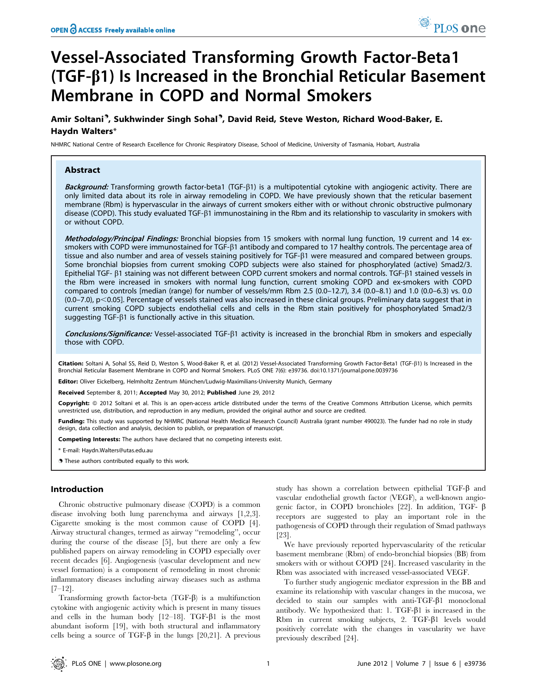# Vessel-Associated Transforming Growth Factor-Beta1 ( $TGF- $\beta$ 1$ ) Is Increased in the Bronchial Reticular Basement Membrane in COPD and Normal Smokers

Amir Soltani<sup>3</sup>, Sukhwinder Singh Sohal<sup>3</sup>, David Reid, Steve Weston, Richard Wood-Baker, E. Haydn Walters\*

NHMRC National Centre of Research Excellence for Chronic Respiratory Disease, School of Medicine, University of Tasmania, Hobart, Australia

# Abstract

Background: Transforming growth factor-beta1 (TGF- $\beta$ 1) is a multipotential cytokine with angiogenic activity. There are only limited data about its role in airway remodeling in COPD. We have previously shown that the reticular basement membrane (Rbm) is hypervascular in the airways of current smokers either with or without chronic obstructive pulmonary disease (COPD). This study evaluated TGF-b1 immunostaining in the Rbm and its relationship to vascularity in smokers with or without COPD.

Methodology/Principal Findings: Bronchial biopsies from 15 smokers with normal lung function, 19 current and 14 exsmokers with COPD were immunostained for TGF-b1 antibody and compared to 17 healthy controls. The percentage area of tissue and also number and area of vessels staining positively for TGF- $\beta$ 1 were measured and compared between groups. Some bronchial biopsies from current smoking COPD subjects were also stained for phosphorylated (active) Smad2/3. Epithelial TGF- b1 staining was not different between COPD current smokers and normal controls. TGF-b1 stained vessels in the Rbm were increased in smokers with normal lung function, current smoking COPD and ex-smokers with COPD compared to controls [median (range) for number of vessels/mm Rbm 2.5 (0.0–12.7), 3.4 (0.0–8.1) and 1.0 (0.0–6.3) vs. 0.0  $(0.0–7.0)$ ,  $p$ <0.05]. Percentage of vessels stained was also increased in these clinical groups. Preliminary data suggest that in current smoking COPD subjects endothelial cells and cells in the Rbm stain positively for phosphorylated Smad2/3 suggesting TGF- $\beta$ 1 is functionally active in this situation.

Conclusions/Significance: Vessel-associated TGF- $\beta$ 1 activity is increased in the bronchial Rbm in smokers and especially those with COPD.

Citation: Soltani A, Sohal SS, Reid D, Weston S, Wood-Baker R, et al. (2012) Vessel-Associated Transforming Growth Factor-Beta1 (TGF-b1) Is Increased in the Bronchial Reticular Basement Membrane in COPD and Normal Smokers. PLoS ONE 7(6): e39736. doi:10.1371/journal.pone.0039736

Editor: Oliver Eickelberg, Helmholtz Zentrum München/Ludwig-Maximilians-University Munich, Germany

Received September 8, 2011; Accepted May 30, 2012; Published June 29, 2012

Copyright: © 2012 Soltani et al. This is an open-access article distributed under the terms of the Creative Commons Attribution License, which permits unrestricted use, distribution, and reproduction in any medium, provided the original author and source are credited.

Funding: This study was supported by NHMRC (National Health Medical Research Council) Australia (grant number 490023). The funder had no role in study design, data collection and analysis, decision to publish, or preparation of manuscript.

Competing Interests: The authors have declared that no competing interests exist.

\* E-mail: Haydn.Walters@utas.edu.au

. These authors contributed equally to this work.

## Introduction

Chronic obstructive pulmonary disease (COPD) is a common disease involving both lung parenchyma and airways [1,2,3]. Cigarette smoking is the most common cause of COPD [4]. Airway structural changes, termed as airway ''remodeling'', occur during the course of the disease [5], but there are only a few published papers on airway remodeling in COPD especially over recent decades [6]. Angiogenesis (vascular development and new vessel formation) is a component of remodeling in most chronic inflammatory diseases including airway diseases such as asthma [7–12].

Transforming growth factor-beta  $(TGF- $\beta$ )$  is a multifunction cytokine with angiogenic activity which is present in many tissues and cells in the human body  $[12-18]$ . TGF- $\beta$ 1 is the most abundant isoform [19], with both structural and inflammatory cells being a source of TGF- $\beta$  in the lungs [20,21]. A previous study has shown a correlation between epithelial TGF- $\beta$  and vascular endothelial growth factor (VEGF), a well-known angiogenic factor, in COPD bronchioles [22]. In addition, TGF-  $\beta$ receptors are suggested to play an important role in the pathogenesis of COPD through their regulation of Smad pathways [23].

We have previously reported hypervascularity of the reticular basement membrane (Rbm) of endo-bronchial biopsies (BB) from smokers with or without COPD [24]. Increased vascularity in the Rbm was associated with increased vessel-associated VEGF.

To further study angiogenic mediator expression in the BB and examine its relationship with vascular changes in the mucosa, we decided to stain our samples with anti-TGF- $\beta$ 1 monoclonal antibody. We hypothesized that: 1.  $TGF- $\beta$ 1 is increased in the$ Rbm in current smoking subjects, 2. TGF- $\beta$ 1 levels would positively correlate with the changes in vascularity we have previously described [24].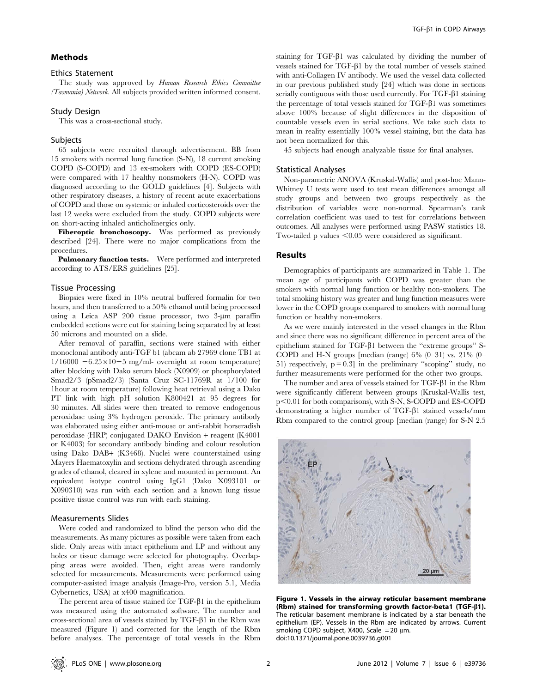# Methods

# Ethics Statement

The study was approved by Human Research Ethics Committee (Tasmania) Network. All subjects provided written informed consent.

# Study Design

This was a cross-sectional study.

# **Subjects**

65 subjects were recruited through advertisement. BB from 15 smokers with normal lung function (S-N), 18 current smoking COPD (S-COPD) and 13 ex-smokers with COPD (ES-COPD) were compared with 17 healthy nonsmokers (H-N). COPD was diagnosed according to the GOLD guidelines [4]. Subjects with other respiratory diseases, a history of recent acute exacerbations of COPD and those on systemic or inhaled corticosteroids over the last 12 weeks were excluded from the study. COPD subjects were on short-acting inhaled anticholinergics only.

Fiberoptic bronchoscopy. Was performed as previously described [24]. There were no major complications from the procedures.

Pulmonary function tests. Were performed and interpreted according to ATS/ERS guidelines [25].

#### Tissue Processing

Biopsies were fixed in 10% neutral buffered formalin for two hours, and then transferred to a 50% ethanol until being processed using a Leica ASP 200 tissue processor, two 3-um paraffin embedded sections were cut for staining being separated by at least 50 microns and mounted on a slide.

After removal of paraffin, sections were stained with either monoclonal antibody anti-TGF b1 (abcam ab 27969 clone TB1 at  $1/16000 - 6.25 \times 10 - 5$  mg/ml- overnight at room temperature) after blocking with Dako serum block (X0909) or phosphorylated Smad2/3 (pSmad2/3) (Santa Cruz SC-11769R at 1/100 for 1hour at room temperature) following heat retrieval using a Dako PT link with high pH solution K800421 at 95 degrees for 30 minutes. All slides were then treated to remove endogenous peroxidase using 3% hydrogen peroxide. The primary antibody was elaborated using either anti-mouse or anti-rabbit horseradish peroxidase (HRP) conjugated DAKO Envision + reagent (K4001 or K4003) for secondary antibody binding and colour resolution using Dako DAB+ (K3468). Nuclei were counterstained using Mayers Haematoxylin and sections dehydrated through ascending grades of ethanol, cleared in xylene and mounted in permount. An equivalent isotype control using IgG1 (Dako X093101 or X090310) was run with each section and a known lung tissue positive tissue control was run with each staining.

## Measurements Slides

Were coded and randomized to blind the person who did the measurements. As many pictures as possible were taken from each slide. Only areas with intact epithelium and LP and without any holes or tissue damage were selected for photography. Overlapping areas were avoided. Then, eight areas were randomly selected for measurements. Measurements were performed using computer-assisted image analysis (Image-Pro, version 5.1, Media Cybernetics, USA) at x400 magnification.

The percent area of tissue stained for  $TGF- $\beta$ 1$  in the epithelium was measured using the automated software. The number and cross-sectional area of vessels stained by TGF- $\beta$ 1 in the Rbm was measured (Figure 1) and corrected for the length of the Rbm before analyses. The percentage of total vessels in the Rbm

staining for  $TGF- $\beta$ 1 was calculated by dividing the number of$ vessels stained for  $TGF- $\beta$ 1 by the total number of vessels stained$ with anti-Collagen IV antibody. We used the vessel data collected in our previous published study [24] which was done in sections serially contiguous with those used currently. For  $TGF- $\beta$ 1 staining$ the percentage of total vessels stained for  $TGF- $\beta$ 1 was sometimes$ above 100% because of slight differences in the disposition of countable vessels even in serial sections. We take such data to mean in reality essentially 100% vessel staining, but the data has not been normalized for this.

45 subjects had enough analyzable tissue for final analyses.

#### Statistical Analyses

Non-parametric ANOVA (Kruskal-Wallis) and post-hoc Mann-Whitney U tests were used to test mean differences amongst all study groups and between two groups respectively as the distribution of variables were non-normal. Spearman's rank correlation coefficient was used to test for correlations between outcomes. All analyses were performed using PASW statistics 18. Two-tailed p values  $\leq 0.05$  were considered as significant.

#### Results

Demographics of participants are summarized in Table 1. The mean age of participants with COPD was greater than the smokers with normal lung function or healthy non-smokers. The total smoking history was greater and lung function measures were lower in the COPD groups compared to smokers with normal lung function or healthy non-smokers.

As we were mainly interested in the vessel changes in the Rbm and since there was no significant difference in percent area of the epithelium stained for TGF-b1 between the ''extreme groups'' S-COPD and H-N groups [median (range)  $6\%$  (0–31) vs. 21\% (0– 51) respectively,  $p = 0.3$  in the preliminary "scoping" study, no further measurements were performed for the other two groups.

The number and area of vessels stained for TGF- $\beta$ 1 in the Rbm were significantly different between groups (Kruskal-Wallis test, p,0.01 for both comparisons), with S-N, S-COPD and ES-COPD demonstrating a higher number of TGF- $\beta$ 1 stained vessels/mm Rbm compared to the control group [median (range) for S-N 2.5



Figure 1. Vessels in the airway reticular basement membrane (Rbm) stained for transforming growth factor-beta1 (TGF- $\beta$ 1). The reticular basement membrane is indicated by a star beneath the epithelium (EP). Vessels in the Rbm are indicated by arrows. Current smoking COPD subject, X400, Scale =  $20 \mu m$ . doi:10.1371/journal.pone.0039736.g001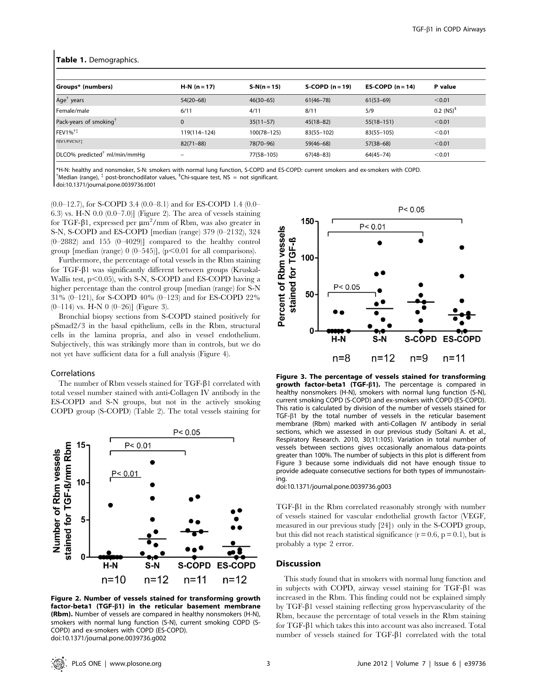| Groups* (numbers)                         | $H-N (n = 17)$ | $S-N(n = 15)$ | $S-COPD (n=19)$ | ES-COPD $(n = 14)$ | P value                  |
|-------------------------------------------|----------------|---------------|-----------------|--------------------|--------------------------|
| Age <sup>†</sup> years                    | $54(20-68)$    | $46(30-65)$   | $61(46 - 78)$   | $61(53-69)$        | < 0.01                   |
| Female/male                               | 6/11           | 4/11          | 8/11            | 5/9                | $0.2$ (NS) <sup>\$</sup> |
| Pack-years of smoking <sup>T</sup>        | $\mathbf{0}$   | $35(11-57)$   | $45(18 - 82)$   | $55(18 - 151)$     | < 0.01                   |
| $FEV1\%$ <sup>†‡</sup>                    | 119(114-124)   | 100(78-125)   | $83(55 - 102)$  | $83(55 - 105)$     | < 0.01                   |
| FEV1/FVC%+1                               | $82(71 - 88)$  | 78(70-96)     | $59(46 - 68)$   | $57(38-68)$        | < 0.01                   |
| $DLO%$ predicted <sup>†</sup> ml/min/mmHq | -              | 77(58-105)    | $67(48-83)$     | 64(45-74)          | < 0.01                   |

#### Table 1. Demographics.

\*H-N: healthy and nonsmoker, S-N: smokers with normal lung function, S-COPD and ES-COPD: current smokers and ex-smokers with COPD. <sup>†</sup>Median (range), <sup>‡</sup> post-bronchodilator values, <sup>§</sup>Chi-square test, NS = not significant.

doi:10.1371/journal.pone.0039736.t001

(0.0–12.7), for S-COPD 3.4 (0.0–8.1) and for ES-COPD 1.4 (0.0– 6.3) vs. H-N  $0.0$   $(0.0-7.0)$ ] (Figure 2). The area of vessels staining for TGF- $\beta$ 1, expressed per  $\mu$ m<sup>2</sup>/mm of Rbm, was also greater in S-N, S-COPD and ES-COPD [median (range) 379 (0–2132), 324  $(0-2882)$  and 155  $(0-4029)$ ] compared to the healthy control group [median (range)  $0$  (0–545)], ( $p$ <0.01 for all comparisons).

Furthermore, the percentage of total vessels in the Rbm staining for TGF- $\beta$ 1 was significantly different between groups (Kruskal-Wallis test,  $p<0.05$ ), with S-N, S-COPD and ES-COPD having a higher percentage than the control group [median (range) for S-N 31% (0–121), for S-COPD 40% (0–123) and for ES-COPD 22%  $(0-114)$  vs. H-N 0  $(0-26)$ ] (Figure 3).

Bronchial biopsy sections from S-COPD stained positively for pSmad2/3 in the basal epithelium, cells in the Rbm, structural cells in the lamina propria, and also in vessel endothelium. Subjectively, this was strikingly more than in controls, but we do not yet have sufficient data for a full analysis (Figure 4).

#### Correlations

The number of Rbm vessels stained for TGF- $\beta$ 1 correlated with total vessel number stained with anti-Collagen IV antibody in the ES-COPD and S-N groups, but not in the actively smoking COPD group (S-COPD) (Table 2). The total vessels staining for



Figure 2. Number of vessels stained for transforming growth factor-beta1 (TGF- $\beta$ 1) in the reticular basement membrane (Rbm). Number of vessels are compared in healthy nonsmokers (H-N), smokers with normal lung function (S-N), current smoking COPD (S-COPD) and ex-smokers with COPD (ES-COPD). doi:10.1371/journal.pone.0039736.g002



Figure 3. The percentage of vessels stained for transforming  $growth$  factor-beta1 (TGF- $\beta$ 1). The percentage is compared in healthy nonsmokers (H-N), smokers with normal lung function (S-N), current smoking COPD (S-COPD) and ex-smokers with COPD (ES-COPD). This ratio is calculated by division of the number of vessels stained for  $TGF- $\beta$ 1 by the total number of vessels in the reticular basement$ membrane (Rbm) marked with anti-Collagen IV antibody in serial sections, which we assessed in our previous study (Soltani A. et al., Respiratory Research. 2010, 30;11:105). Variation in total number of vessels between sections gives occasionally anomalous data-points greater than 100%. The number of subjects in this plot is different from Figure 3 because some individuals did not have enough tissue to provide adequate consecutive sections for both types of immunostaining.

doi:10.1371/journal.pone.0039736.g003

 $TGF- $\beta$ 1 in the Rbm correlated reasonably strongly with number$ of vessels stained for vascular endothelial growth factor (VEGF, measured in our previous study [24]) only in the S-COPD group, but this did not reach statistical significance  $(r = 0.6, p = 0.1)$ , but is probably a type 2 error.

# **Discussion**

This study found that in smokers with normal lung function and in subjects with COPD, airway vessel staining for  $TGF- $\beta$ 1 was$ increased in the Rbm. This finding could not be explained simply by TGF- $\beta$ 1 vessel staining reflecting gross hypervascularity of the Rbm, because the percentage of total vessels in the Rbm staining for TGF- $\beta$ 1 which takes this into account was also increased. Total number of vessels stained for TGF- $\beta$ 1 correlated with the total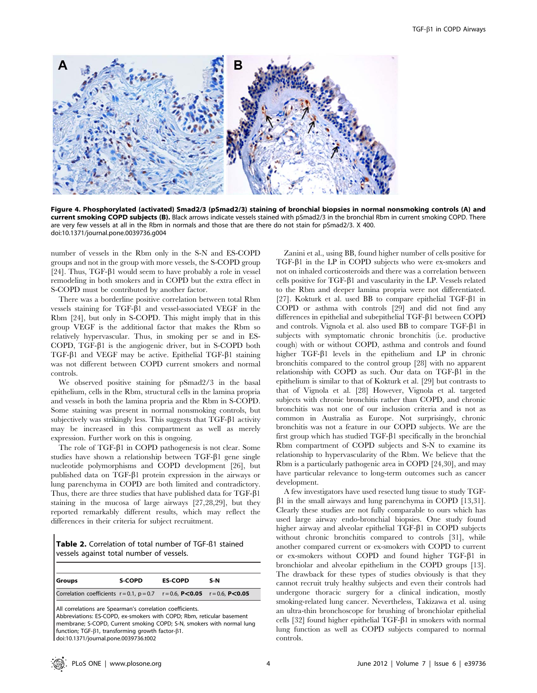

Figure 4. Phosphorylated (activated) Smad2/3 (pSmad2/3) staining of bronchial biopsies in normal nonsmoking controls (A) and current smoking COPD subjects (B). Black arrows indicate vessels stained with pSmad2/3 in the bronchial Rbm in current smoking COPD. There are very few vessels at all in the Rbm in normals and those that are there do not stain for pSmad2/3. X 400. doi:10.1371/journal.pone.0039736.g004

number of vessels in the Rbm only in the S-N and ES-COPD groups and not in the group with more vessels, the S-COPD group [24]. Thus, TGF- $\beta$ 1 would seem to have probably a role in vessel remodeling in both smokers and in COPD but the extra effect in S-COPD must be contributed by another factor.

There was a borderline positive correlation between total Rbm vessels staining for TGF- $\beta$ 1 and vessel-associated VEGF in the Rbm [24], but only in S-COPD. This might imply that in this group VEGF is the additional factor that makes the Rbm so relatively hypervascular. Thus, in smoking per se and in ES-COPD, TGF- $\beta$ 1 is the angiogenic driver, but in S-COPD both TGF- $\beta$ 1 and VEGF may be active. Epithelial TGF- $\beta$ 1 staining was not different between COPD current smokers and normal controls.

We observed positive staining for pSmad2/3 in the basal epithelium, cells in the Rbm, structural cells in the lamina propria and vessels in both the lamina propria and the Rbm in S-COPD. Some staining was present in normal nonsmoking controls, but subjectively was strikingly less. This suggests that  $TGF- $\beta$ 1 activity$ may be increased in this compartment as well as merely expression. Further work on this is ongoing.

The role of TGF- $\beta$ 1 in COPD pathogenesis is not clear. Some studies have shown a relationship between  $TGF- $\beta$ 1 gene single$ nucleotide polymorphisms and COPD development [26], but published data on TGF- $\beta$ 1 protein expression in the airways or lung parenchyma in COPD are both limited and contradictory. Thus, there are three studies that have published data for  $TGF- $\beta$ 1$ staining in the mucosa of large airways [27,28,29], but they reported remarkably different results, which may reflect the differences in their criteria for subject recruitment.

Table 2. Correlation of total number of TGF-ß1 stained vessels against total number of vessels.

| Groups                                                                                       | S-COPD | <b>ES-COPD</b> | S-N |  |  |  |
|----------------------------------------------------------------------------------------------|--------|----------------|-----|--|--|--|
| Correlation coefficients $r = 0.1$ , $p = 0.7$ $r = 0.6$ , $P < 0.05$ $r = 0.6$ , $P < 0.05$ |        |                |     |  |  |  |
| All correlations are Spearman's correlation coefficients.                                    |        |                |     |  |  |  |

Abbreviations: ES-COPD, ex-smokers with COPD; Rbm, reticular basement membrane; S-COPD, Current smoking COPD; S-N, smokers with normal lung function: TGF-B1, transforming growth factor-B1.

doi:10.1371/journal.pone.0039736.t002

Zanini et al., using BB, found higher number of cells positive for TGF-b1 in the LP in COPD subjects who were ex-smokers and not on inhaled corticosteroids and there was a correlation between cells positive for TGF- $\beta$ 1 and vascularity in the LP. Vessels related to the Rbm and deeper lamina propria were not differentiated. [27]. Kokturk et al. used BB to compare epithelial TGF- $\beta$ 1 in COPD or asthma with controls [29] and did not find any differences in epithelial and subepithelial TGF- $\beta$ 1 between COPD and controls. Vignola et al. also used BB to compare  $TGF- $\beta$ 1 in$ subjects with symptomatic chronic bronchitis (i.e. productive cough) with or without COPD, asthma and controls and found higher TGF- $\beta$ 1 levels in the epithelium and LP in chronic bronchitis compared to the control group [28] with no apparent relationship with COPD as such. Our data on TGF- $\beta$ 1 in the epithelium is similar to that of Kokturk et al. [29] but contrasts to that of Vignola et al. [28] However, Vignola et al. targeted subjects with chronic bronchitis rather than COPD, and chronic bronchitis was not one of our inclusion criteria and is not as common in Australia as Europe. Not surprisingly, chronic bronchitis was not a feature in our COPD subjects. We are the first group which has studied  $TGF- $\beta$ 1 specifically in the bronchial$ Rbm compartment of COPD subjects and S-N to examine its relationship to hypervascularity of the Rbm. We believe that the Rbm is a particularly pathogenic area in COPD [24,30], and may have particular relevance to long-term outcomes such as cancer development.

A few investigators have used resected lung tissue to study TGF- $\beta$ 1 in the small airways and lung parenchyma in COPD [13,31]. Clearly these studies are not fully comparable to ours which has used large airway endo-bronchial biopsies. One study found higher airway and alveolar epithelial  $TGF- $\beta$ 1$  in COPD subjects without chronic bronchitis compared to controls [31], while another compared current or ex-smokers with COPD to current or ex-smokers without COPD and found higher  $TGF- $\beta$ 1 in$ bronchiolar and alveolar epithelium in the COPD groups [13]. The drawback for these types of studies obviously is that they cannot recruit truly healthy subjects and even their controls had undergone thoracic surgery for a clinical indication, mostly smoking-related lung cancer. Nevertheless, Takizawa et al. using an ultra-thin bronchoscope for brushing of bronchiolar epithelial cells  $[32]$  found higher epithelial TGF- $\beta$ 1 in smokers with normal lung function as well as COPD subjects compared to normal controls.